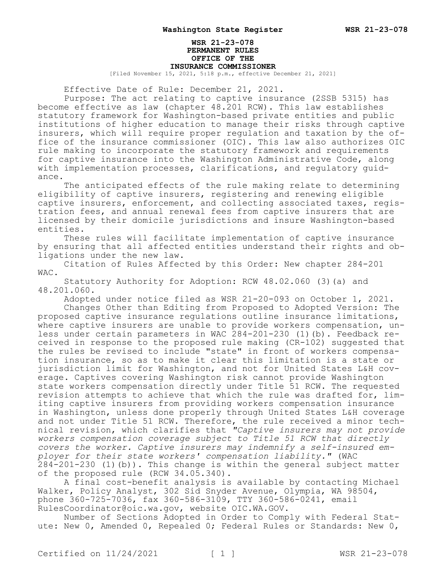# **WSR 21-23-078 PERMANENT RULES OFFICE OF THE INSURANCE COMMISSIONER**

[Filed November 15, 2021, 5:18 p.m., effective December 21, 2021]

Effective Date of Rule: December 21, 2021.

Purpose: The act relating to captive insurance (2SSB 5315) has become effective as law (chapter 48.201 RCW). This law establishes statutory framework for Washington-based private entities and public institutions of higher education to manage their risks through captive insurers, which will require proper regulation and taxation by the office of the insurance commissioner (OIC). This law also authorizes OIC rule making to incorporate the statutory framework and requirements for captive insurance into the Washington Administrative Code, along with implementation processes, clarifications, and regulatory guidance.

The anticipated effects of the rule making relate to determining eligibility of captive insurers, registering and renewing eligible captive insurers, enforcement, and collecting associated taxes, registration fees, and annual renewal fees from captive insurers that are licensed by their domicile jurisdictions and insure Washington-based entities.

These rules will facilitate implementation of captive insurance by ensuring that all affected entities understand their rights and obligations under the new law.

Citation of Rules Affected by this Order: New chapter 284-201 WAC.

Statutory Authority for Adoption: RCW 48.02.060 (3)(a) and 48.201.060.

Adopted under notice filed as WSR 21-20-093 on October 1, 2021.

Changes Other than Editing from Proposed to Adopted Version: The proposed captive insurance regulations outline insurance limitations, where captive insurers are unable to provide workers compensation, unless under certain parameters in WAC 284-201-230 (1)(b). Feedback received in response to the proposed rule making (CR-102) suggested that the rules be revised to include "state" in front of workers compensation insurance, so as to make it clear this limitation is a state or jurisdiction limit for Washington, and not for United States L&H coverage. Captives covering Washington risk cannot provide Washington state workers compensation directly under Title 51 RCW. The requested revision attempts to achieve that which the rule was drafted for, limiting captive insurers from providing workers compensation insurance in Washington, unless done properly through United States L&H coverage and not under Title 51 RCW. Therefore, the rule received a minor technical revision, which clarifies that *"Captive insurers may not provide workers compensation coverage subject to Title 51 RCW that directly covers the worker. Captive insurers may indemnify a self-insured employer for their state workers' compensation liability."* (WAC 284-201-230 (1)(b)). This change is within the general subject matter of the proposed rule (RCW 34.05.340).

A final cost-benefit analysis is available by contacting Michael Walker, Policy Analyst, 302 Sid Snyder Avenue, Olympia, WA 98504, phone 360-725-7036, fax 360-586-3109, TTY 360-586-0241, email RulesCoordinator@oic.wa.gov, website OIC.WA.GOV.

Number of Sections Adopted in Order to Comply with Federal Statute: New 0, Amended 0, Repealed 0; Federal Rules or Standards: New 0,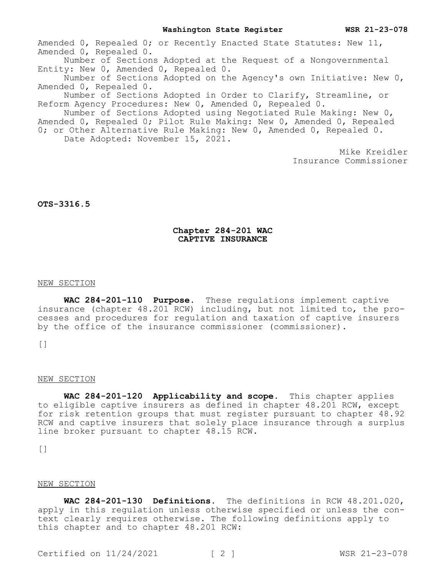Amended 0, Repealed 0; or Recently Enacted State Statutes: New 11, Amended 0, Repealed 0.

Number of Sections Adopted at the Request of a Nongovernmental Entity: New 0, Amended 0, Repealed 0.

Number of Sections Adopted on the Agency's own Initiative: New 0, Amended 0, Repealed 0.

Number of Sections Adopted in Order to Clarify, Streamline, or Reform Agency Procedures: New 0, Amended 0, Repealed 0.

Number of Sections Adopted using Negotiated Rule Making: New 0, Amended 0, Repealed 0; Pilot Rule Making: New 0, Amended 0, Repealed 0; or Other Alternative Rule Making: New 0, Amended 0, Repealed 0.

Date Adopted: November 15, 2021.

Mike Kreidler Insurance Commissioner

# **OTS-3316.5**

# **Chapter 284-201 WAC CAPTIVE INSURANCE**

### NEW SECTION

**WAC 284-201-110 Purpose.** These regulations implement captive insurance (chapter 48.201 RCW) including, but not limited to, the processes and procedures for regulation and taxation of captive insurers by the office of the insurance commissioner (commissioner).

 $[$ 

# NEW SECTION

**WAC 284-201-120 Applicability and scope.** This chapter applies to eligible captive insurers as defined in chapter 48.201 RCW, except for risk retention groups that must register pursuant to chapter 48.92 RCW and captive insurers that solely place insurance through a surplus line broker pursuant to chapter 48.15 RCW.

 $[$ 

# NEW SECTION

**WAC 284-201-130 Definitions.** The definitions in RCW 48.201.020, apply in this regulation unless otherwise specified or unless the context clearly requires otherwise. The following definitions apply to this chapter and to chapter 48.201 RCW: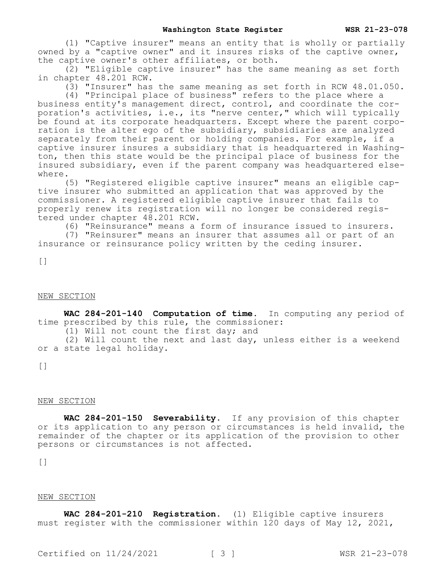(1) "Captive insurer" means an entity that is wholly or partially owned by a "captive owner" and it insures risks of the captive owner, the captive owner's other affiliates, or both.

(2) "Eligible captive insurer" has the same meaning as set forth in chapter 48.201 RCW.

(3) "Insurer" has the same meaning as set forth in RCW 48.01.050.

(4) "Principal place of business" refers to the place where a business entity's management direct, control, and coordinate the corporation's activities, i.e., its "nerve center," which will typically be found at its corporate headquarters. Except where the parent corporation is the alter ego of the subsidiary, subsidiaries are analyzed separately from their parent or holding companies. For example, if a captive insurer insures a subsidiary that is headquartered in Washington, then this state would be the principal place of business for the insured subsidiary, even if the parent company was headquartered elsewhere.

(5) "Registered eligible captive insurer" means an eligible captive insurer who submitted an application that was approved by the commissioner. A registered eligible captive insurer that fails to properly renew its registration will no longer be considered registered under chapter 48.201 RCW.

(6) "Reinsurance" means a form of insurance issued to insurers.

(7) "Reinsurer" means an insurer that assumes all or part of an insurance or reinsurance policy written by the ceding insurer.

 $[$ 

### NEW SECTION

**WAC 284-201-140 Computation of time.** In computing any period of time prescribed by this rule, the commissioner: (1) Will not count the first day; and

(2) Will count the next and last day, unless either is a weekend or a state legal holiday.

 $\lceil$ ]

### NEW SECTION

**WAC 284-201-150 Severability.** If any provision of this chapter or its application to any person or circumstances is held invalid, the remainder of the chapter or its application of the provision to other persons or circumstances is not affected.

 $\lceil$ ]

#### NEW SECTION

**WAC 284-201-210 Registration.** (1) Eligible captive insurers must register with the commissioner within 120 days of May 12, 2021,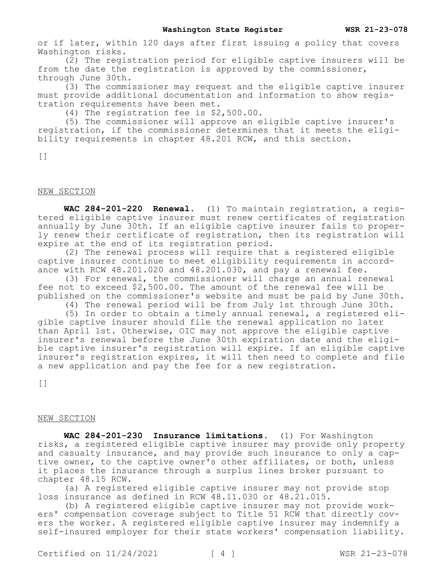or if later, within 120 days after first issuing a policy that covers Washington risks.

(2) The registration period for eligible captive insurers will be from the date the registration is approved by the commissioner, through June 30th.

(3) The commissioner may request and the eligible captive insurer must provide additional documentation and information to show registration requirements have been met.

(4) The registration fee is \$2,500.00.

(5) The commissioner will approve an eligible captive insurer's registration, if the commissioner determines that it meets the eligibility requirements in chapter 48.201 RCW, and this section.

[]

# NEW SECTION

**WAC 284-201-220 Renewal.** (1) To maintain registration, a registered eligible captive insurer must renew certificates of registration annually by June 30th. If an eligible captive insurer fails to properly renew their certificate of registration, then its registration will expire at the end of its registration period.

(2) The renewal process will require that a registered eligible captive insurer continue to meet eligibility requirements in accordance with RCW 48.201.020 and 48.201.030, and pay a renewal fee.

(3) For renewal, the commissioner will charge an annual renewal fee not to exceed \$2,500.00. The amount of the renewal fee will be published on the commissioner's website and must be paid by June 30th.

(4) The renewal period will be from July 1st through June 30th.

(5) In order to obtain a timely annual renewal, a registered eligible captive insurer should file the renewal application no later than April 1st. Otherwise, OIC may not approve the eligible captive insurer's renewal before the June 30th expiration date and the eligible captive insurer's registration will expire. If an eligible captive insurer's registration expires, it will then need to complete and file a new application and pay the fee for a new registration.

[]

# NEW SECTION

**WAC 284-201-230 Insurance limitations.** (1) For Washington risks, a registered eligible captive insurer may provide only property and casualty insurance, and may provide such insurance to only a captive owner, to the captive owner's other affiliates, or both, unless it places the insurance through a surplus lines broker pursuant to chapter 48.15 RCW.

(a) A registered eligible captive insurer may not provide stop loss insurance as defined in RCW 48.11.030 or 48.21.015.

(b) A registered eligible captive insurer may not provide workers' compensation coverage subject to Title 51 RCW that directly covers the worker. A registered eligible captive insurer may indemnify a self-insured employer for their state workers' compensation liability.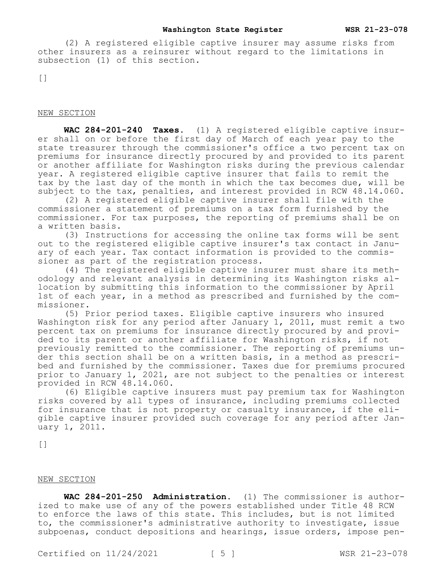#### **Washington State Register WSR 21-23-078**

(2) A registered eligible captive insurer may assume risks from other insurers as a reinsurer without regard to the limitations in subsection (1) of this section.

 $\lceil$ ]

# NEW SECTION

**WAC 284-201-240 Taxes.** (1) A registered eligible captive insurer shall on or before the first day of March of each year pay to the state treasurer through the commissioner's office a two percent tax on premiums for insurance directly procured by and provided to its parent or another affiliate for Washington risks during the previous calendar year. A registered eligible captive insurer that fails to remit the tax by the last day of the month in which the tax becomes due, will be subject to the tax, penalties, and interest provided in RCW 48.14.060.

(2) A registered eligible captive insurer shall file with the commissioner a statement of premiums on a tax form furnished by the commissioner. For tax purposes, the reporting of premiums shall be on a written basis.

(3) Instructions for accessing the online tax forms will be sent out to the registered eligible captive insurer's tax contact in January of each year. Tax contact information is provided to the commissioner as part of the registration process.

(4) The registered eligible captive insurer must share its methodology and relevant analysis in determining its Washington risks allocation by submitting this information to the commissioner by April 1st of each year, in a method as prescribed and furnished by the commissioner.

(5) Prior period taxes. Eligible captive insurers who insured Washington risk for any period after January 1, 2011, must remit a two percent tax on premiums for insurance directly procured by and provided to its parent or another affiliate for Washington risks, if not previously remitted to the commissioner. The reporting of premiums under this section shall be on a written basis, in a method as prescribed and furnished by the commissioner. Taxes due for premiums procured prior to January 1, 2021, are not subject to the penalties or interest provided in RCW 48.14.060.

(6) Eligible captive insurers must pay premium tax for Washington risks covered by all types of insurance, including premiums collected for insurance that is not property or casualty insurance, if the eligible captive insurer provided such coverage for any period after January 1, 2011.

[]

# NEW SECTION

**WAC 284-201-250 Administration.** (1) The commissioner is authorized to make use of any of the powers established under Title 48 RCW to enforce the laws of this state. This includes, but is not limited to, the commissioner's administrative authority to investigate, issue subpoenas, conduct depositions and hearings, issue orders, impose pen